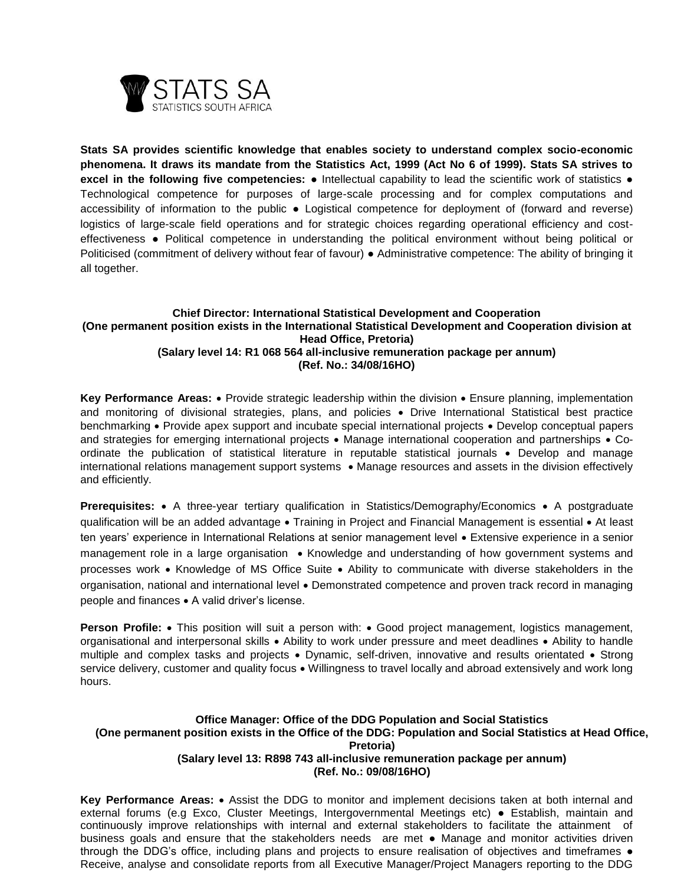

**Stats SA provides scientific knowledge that enables society to understand complex socio-economic phenomena. It draws its mandate from the Statistics Act, 1999 (Act No 6 of 1999). Stats SA strives to excel in the following five competencies:** ● Intellectual capability to lead the scientific work of statistics ● Technological competence for purposes of large-scale processing and for complex computations and accessibility of information to the public ● Logistical competence for deployment of (forward and reverse) logistics of large-scale field operations and for strategic choices regarding operational efficiency and costeffectiveness ● Political competence in understanding the political environment without being political or Politicised (commitment of delivery without fear of favour) ● Administrative competence: The ability of bringing it all together.

# **Chief Director: International Statistical Development and Cooperation (One permanent position exists in the International Statistical Development and Cooperation division at Head Office, Pretoria) (Salary level 14: R1 068 564 all-inclusive remuneration package per annum) (Ref. No.: 34/08/16HO)**

**Key Performance Areas:** • Provide strategic leadership within the division • Ensure planning, implementation and monitoring of divisional strategies, plans, and policies . Drive International Statistical best practice benchmarking • Provide apex support and incubate special international projects • Develop conceptual papers and strategies for emerging international projects • Manage international cooperation and partnerships • Coordinate the publication of statistical literature in reputable statistical journals • Develop and manage international relations management support systems . Manage resources and assets in the division effectively and efficiently.

**Prerequisites:** • A three-year tertiary qualification in Statistics/Demography/Economics • A postgraduate qualification will be an added advantage • Training in Project and Financial Management is essential • At least ten years' experience in International Relations at senior management level Extensive experience in a senior management role in a large organisation • Knowledge and understanding of how government systems and processes work Knowledge of MS Office Suite Ability to communicate with diverse stakeholders in the organisation, national and international level • Demonstrated competence and proven track record in managing people and finances • A valid driver's license.

**Person Profile:** • This position will suit a person with: • Good project management, logistics management, organisational and interpersonal skills • Ability to work under pressure and meet deadlines • Ability to handle multiple and complex tasks and projects • Dynamic, self-driven, innovative and results orientated • Strong service delivery, customer and quality focus . Willingness to travel locally and abroad extensively and work long hours.

#### **Office Manager: Office of the DDG Population and Social Statistics (One permanent position exists in the Office of the DDG: Population and Social Statistics at Head Office, Pretoria) (Salary level 13: R898 743 all-inclusive remuneration package per annum) (Ref. No.: 09/08/16HO)**

**Key Performance Areas:** • Assist the DDG to monitor and implement decisions taken at both internal and external forums (e.g Exco, Cluster Meetings, Intergovernmental Meetings etc) ● Establish, maintain and continuously improve relationships with internal and external stakeholders to facilitate the attainment of business goals and ensure that the stakeholders needs are met • Manage and monitor activities driven through the DDG's office, including plans and projects to ensure realisation of objectives and timeframes ● Receive, analyse and consolidate reports from all Executive Manager/Project Managers reporting to the DDG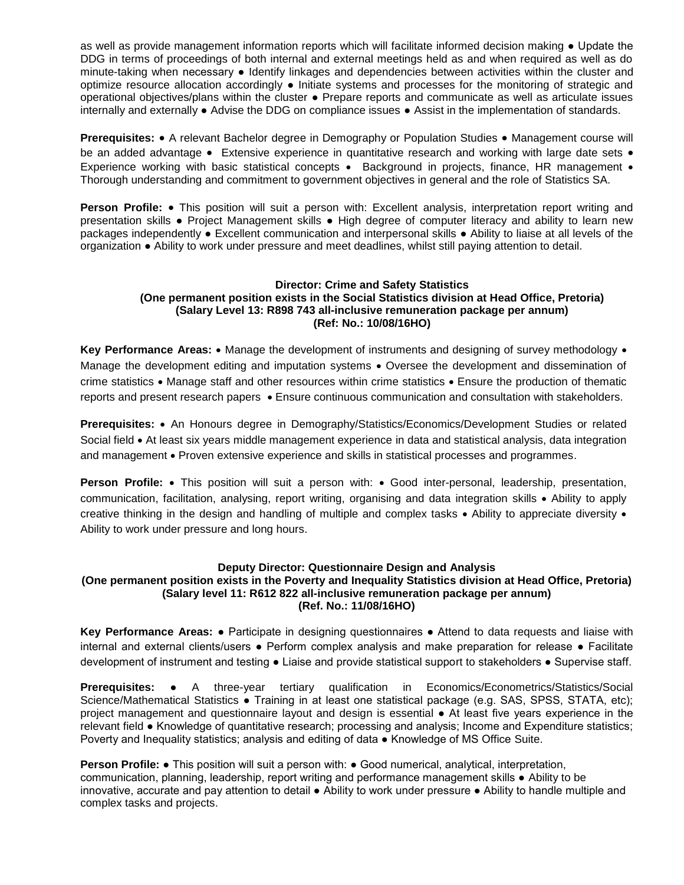as well as provide management information reports which will facilitate informed decision making ● Update the DDG in terms of proceedings of both internal and external meetings held as and when required as well as do minute-taking when necessary ● Identify linkages and dependencies between activities within the cluster and optimize resource allocation accordingly ● Initiate systems and processes for the monitoring of strategic and operational objectives/plans within the cluster ● Prepare reports and communicate as well as articulate issues internally and externally ● Advise the DDG on compliance issues ● Assist in the implementation of standards.

**Prerequisites:** • A relevant Bachelor degree in Demography or Population Studies • Management course will be an added advantage • Extensive experience in quantitative research and working with large date sets • Experience working with basic statistical concepts • Background in projects, finance, HR management • Thorough understanding and commitment to government objectives in general and the role of Statistics SA.

Person Profile: . This position will suit a person with: Excellent analysis, interpretation report writing and presentation skills ● Project Management skills ● High degree of computer literacy and ability to learn new packages independently ● Excellent communication and interpersonal skills ● Ability to liaise at all levels of the organization ● Ability to work under pressure and meet deadlines, whilst still paying attention to detail.

### **Director: Crime and Safety Statistics (One permanent position exists in the Social Statistics division at Head Office, Pretoria) (Salary Level 13: R898 743 all-inclusive remuneration package per annum) (Ref: No.: 10/08/16HO)**

Key Performance Areas: • Manage the development of instruments and designing of survey methodology • Manage the development editing and imputation systems • Oversee the development and dissemination of crime statistics Manage staff and other resources within crime statistics Ensure the production of thematic reports and present research papers Ensure continuous communication and consultation with stakeholders.

**Prerequisites:** An Honours degree in Demography/Statistics/Economics/Development Studies or related Social field • At least six years middle management experience in data and statistical analysis, data integration and management • Proven extensive experience and skills in statistical processes and programmes.

**Person Profile:** • This position will suit a person with: • Good inter-personal, leadership, presentation, communication, facilitation, analysing, report writing, organising and data integration skills Ability to apply creative thinking in the design and handling of multiple and complex tasks  $\bullet$  Ability to appreciate diversity  $\bullet$ Ability to work under pressure and long hours.

### **Deputy Director: Questionnaire Design and Analysis**

### **(One permanent position exists in the Poverty and Inequality Statistics division at Head Office, Pretoria) (Salary level 11: R612 822 all-inclusive remuneration package per annum) (Ref. No.: 11/08/16HO)**

**Key Performance Areas:** ● Participate in designing questionnaires ● Attend to data requests and liaise with internal and external clients/users ● Perform complex analysis and make preparation for release ● Facilitate development of instrument and testing ● Liaise and provide statistical support to stakeholders ● Supervise staff.

**Prerequisites:** ● A three-year tertiary qualification in Economics/Econometrics/Statistics/Social Science/Mathematical Statistics • Training in at least one statistical package (e.g. SAS, SPSS, STATA, etc); project management and questionnaire layout and design is essential ● At least five years experience in the relevant field ● Knowledge of quantitative research; processing and analysis; Income and Expenditure statistics; Poverty and Inequality statistics; analysis and editing of data ● Knowledge of MS Office Suite.

**Person Profile: •** This position will suit a person with: • Good numerical, analytical, interpretation, communication, planning, leadership, report writing and performance management skills ● Ability to be innovative, accurate and pay attention to detail ● Ability to work under pressure ● Ability to handle multiple and complex tasks and projects.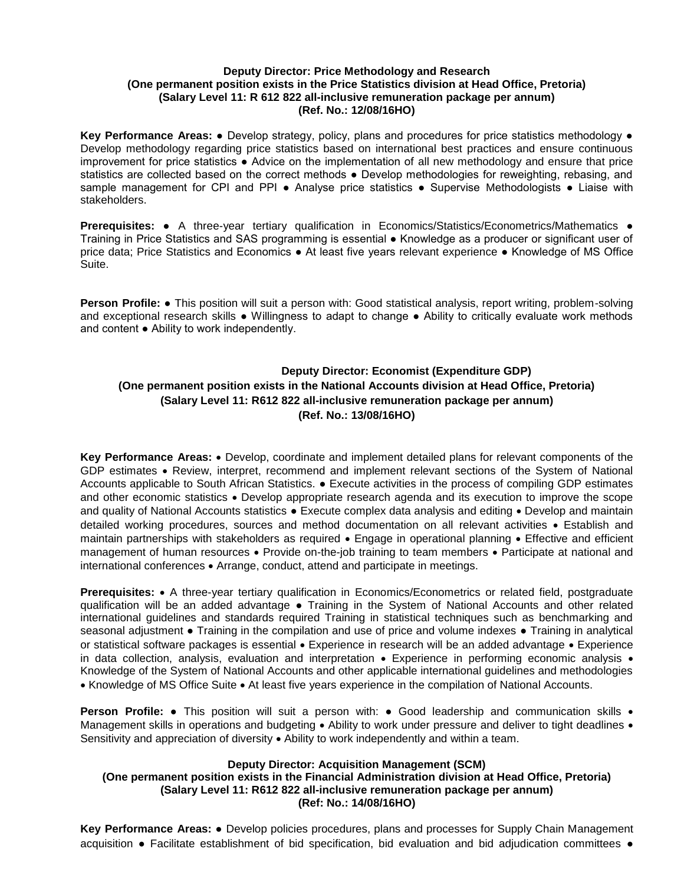### **Deputy Director: Price Methodology and Research (One permanent position exists in the Price Statistics division at Head Office, Pretoria) (Salary Level 11: R 612 822 all-inclusive remuneration package per annum) (Ref. No.: 12/08/16HO)**

**Key Performance Areas:** ● Develop strategy, policy, plans and procedures for price statistics methodology ● Develop methodology regarding price statistics based on international best practices and ensure continuous improvement for price statistics ● Advice on the implementation of all new methodology and ensure that price statistics are collected based on the correct methods • Develop methodologies for reweighting, rebasing, and sample management for CPI and PPI • Analyse price statistics • Supervise Methodologists • Liaise with stakeholders.

**Prerequisites:** ● A three-year tertiary qualification in Economics/Statistics/Econometrics/Mathematics ● Training in Price Statistics and SAS programming is essential ● Knowledge as a producer or significant user of price data; Price Statistics and Economics ● At least five years relevant experience ● Knowledge of MS Office Suite.

**Person Profile:** ● This position will suit a person with: Good statistical analysis, report writing, problem-solving and exceptional research skills ● Willingness to adapt to change ● Ability to critically evaluate work methods and content ● Ability to work independently.

# **Deputy Director: Economist (Expenditure GDP) (One permanent position exists in the National Accounts division at Head Office, Pretoria) (Salary Level 11: R612 822 all-inclusive remuneration package per annum) (Ref. No.: 13/08/16HO)**

**Key Performance Areas:** • Develop, coordinate and implement detailed plans for relevant components of the GDP estimates • Review, interpret, recommend and implement relevant sections of the System of National Accounts applicable to South African Statistics. ● Execute activities in the process of compiling GDP estimates and other economic statistics . Develop appropriate research agenda and its execution to improve the scope and quality of National Accounts statistics • Execute complex data analysis and editing • Develop and maintain detailed working procedures, sources and method documentation on all relevant activities Establish and maintain partnerships with stakeholders as required • Engage in operational planning • Effective and efficient management of human resources • Provide on-the-job training to team members • Participate at national and international conferences Arrange, conduct, attend and participate in meetings.

**Prerequisites:** • A three-year tertiary qualification in Economics/Econometrics or related field, postgraduate qualification will be an added advantage ● Training in the System of National Accounts and other related international guidelines and standards required Training in statistical techniques such as benchmarking and seasonal adjustment • Training in the compilation and use of price and volume indexes • Training in analytical or statistical software packages is essential • Experience in research will be an added advantage • Experience in data collection, analysis, evaluation and interpretation • Experience in performing economic analysis • Knowledge of the System of National Accounts and other applicable international guidelines and methodologies • Knowledge of MS Office Suite • At least five years experience in the compilation of National Accounts.

**Person Profile:** • This position will suit a person with: • Good leadership and communication skills • Management skills in operations and budgeting  $\bullet$  Ability to work under pressure and deliver to tight deadlines  $\bullet$ Sensitivity and appreciation of diversity  $\bullet$  Ability to work independently and within a team.

### **Deputy Director: Acquisition Management (SCM)**

## **(One permanent position exists in the Financial Administration division at Head Office, Pretoria) (Salary Level 11: R612 822 all-inclusive remuneration package per annum) (Ref: No.: 14/08/16HO)**

**Key Performance Areas:** ● Develop policies procedures, plans and processes for Supply Chain Management acquisition ● Facilitate establishment of bid specification, bid evaluation and bid adjudication committees ●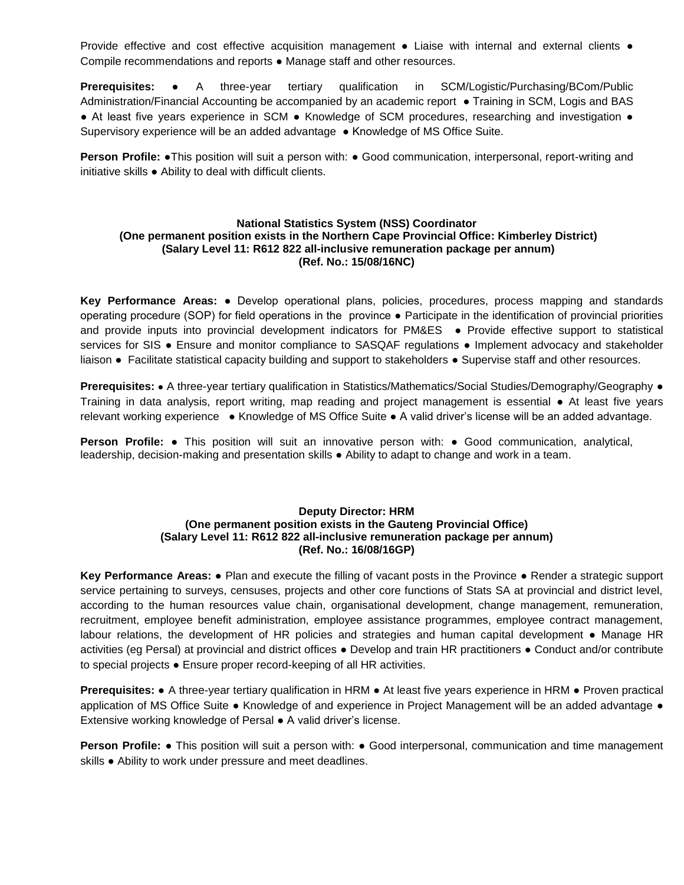Provide effective and cost effective acquisition management • Liaise with internal and external clients • Compile recommendations and reports ● Manage staff and other resources.

**Prerequisites:** ● A three-year tertiary qualification in SCM/Logistic/Purchasing/BCom/Public Administration/Financial Accounting be accompanied by an academic report ● Training in SCM, Logis and BAS ● At least five years experience in SCM ● Knowledge of SCM procedures, researching and investigation ● Supervisory experience will be an added advantage ● Knowledge of MS Office Suite.

**Person Profile:** •This position will suit a person with: • Good communication, interpersonal, report-writing and initiative skills ● Ability to deal with difficult clients.

### **National Statistics System (NSS) Coordinator (One permanent position exists in the Northern Cape Provincial Office: Kimberley District) (Salary Level 11: R612 822 all-inclusive remuneration package per annum) (Ref. No.: 15/08/16NC)**

**Key Performance Areas:** ● Develop operational plans, policies, procedures, process mapping and standards operating procedure (SOP) for field operations in the province ● Participate in the identification of provincial priorities and provide inputs into provincial development indicators for PM&ES ● Provide effective support to statistical services for SIS . Ensure and monitor compliance to SASQAF regulations . Implement advocacy and stakeholder liaison ● Facilitate statistical capacity building and support to stakeholders ● Supervise staff and other resources.

**Prerequisites:** ● A three-year tertiary qualification in Statistics/Mathematics/Social Studies/Demography/Geography ● Training in data analysis, report writing, map reading and project management is essential ● At least five years relevant working experience ● Knowledge of MS Office Suite ● A valid driver's license will be an added advantage.

**Person Profile:** ● This position will suit an innovative person with: ● Good communication, analytical, leadership, decision-making and presentation skills ● Ability to adapt to change and work in a team.

## **Deputy Director: HRM (One permanent position exists in the Gauteng Provincial Office) (Salary Level 11: R612 822 all-inclusive remuneration package per annum) (Ref. No.: 16/08/16GP)**

**Key Performance Areas:** ● Plan and execute the filling of vacant posts in the Province ● Render a strategic support service pertaining to surveys, censuses, projects and other core functions of Stats SA at provincial and district level, according to the human resources value chain, organisational development, change management, remuneration, recruitment, employee benefit administration, employee assistance programmes, employee contract management, labour relations, the development of HR policies and strategies and human capital development • Manage HR activities (eg Persal) at provincial and district offices ● Develop and train HR practitioners ● Conduct and/or contribute to special projects ● Ensure proper record-keeping of all HR activities.

**Prerequisites:** ● A three-year tertiary qualification in HRM ● At least five years experience in HRM ● Proven practical application of MS Office Suite ● Knowledge of and experience in Project Management will be an added advantage ● Extensive working knowledge of Persal ● A valid driver's license.

**Person Profile: •** This position will suit a person with: • Good interpersonal, communication and time management skills • Ability to work under pressure and meet deadlines.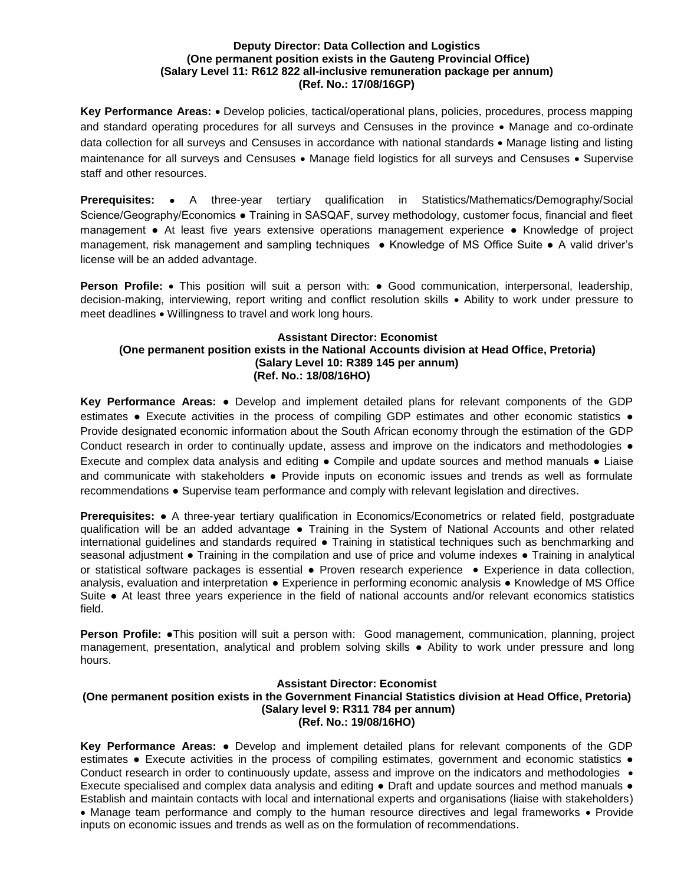#### **Deputy Director: Data Collection and Logistics (One permanent position exists in the Gauteng Provincial Office) (Salary Level 11: R612 822 all-inclusive remuneration package per annum) (Ref. No.: 17/08/16GP)**

Key Performance Areas: • Develop policies, tactical/operational plans, policies, procedures, process mapping and standard operating procedures for all surveys and Censuses in the province • Manage and co-ordinate data collection for all surveys and Censuses in accordance with national standards • Manage listing and listing maintenance for all surveys and Censuses • Manage field logistics for all surveys and Censuses • Supervise staff and other resources.

**Prerequisites:** • A three-year tertiary qualification in Statistics/Mathematics/Demography/Social Science/Geography/Economics ● Training in SASQAF, survey methodology, customer focus, financial and fleet management ● At least five years extensive operations management experience ● Knowledge of project management, risk management and sampling techniques ● Knowledge of MS Office Suite ● A valid driver's license will be an added advantage.

**Person Profile:** • This position will suit a person with: • Good communication, interpersonal, leadership, decision-making, interviewing, report writing and conflict resolution skills • Ability to work under pressure to meet deadlines Willingness to travel and work long hours.

## **Assistant Director: Economist (One permanent position exists in the National Accounts division at Head Office, Pretoria) (Salary Level 10: R389 145 per annum) (Ref. No.: 18/08/16HO)**

**Key Performance Areas:** ● Develop and implement detailed plans for relevant components of the GDP estimates • Execute activities in the process of compiling GDP estimates and other economic statistics • Provide designated economic information about the South African economy through the estimation of the GDP Conduct research in order to continually update, assess and improve on the indicators and methodologies  $\bullet$ Execute and complex data analysis and editing ● Compile and update sources and method manuals ● Liaise and communicate with stakeholders • Provide inputs on economic issues and trends as well as formulate recommendations ● Supervise team performance and comply with relevant legislation and directives.

**Prerequisites:** ● A three-year tertiary qualification in Economics/Econometrics or related field, postgraduate qualification will be an added advantage ● Training in the System of National Accounts and other related international guidelines and standards required ● Training in statistical techniques such as benchmarking and seasonal adjustment • Training in the compilation and use of price and volume indexes • Training in analytical or statistical software packages is essential ● Proven research experience Experience in data collection, analysis, evaluation and interpretation ● Experience in performing economic analysis ● Knowledge of MS Office Suite ● At least three years experience in the field of national accounts and/or relevant economics statistics field.

**Person Profile: •This position will suit a person with: Good management, communication, planning, project** management, presentation, analytical and problem solving skills ● Ability to work under pressure and long hours.

## **Assistant Director: Economist (One permanent position exists in the Government Financial Statistics division at Head Office, Pretoria) (Salary level 9: R311 784 per annum) (Ref. No.: 19/08/16HO)**

**Key Performance Areas: ●** Develop and implement detailed plans for relevant components of the GDP estimates **●** Execute activities in the process of compiling estimates, government and economic statistics **●**  Conduct research in order to continuously update, assess and improve on the indicators and methodologies  $\bullet$ Execute specialised and complex data analysis and editing **●** Draft and update sources and method manuals **●**  Establish and maintain contacts with local and international experts and organisations (liaise with stakeholders) • Manage team performance and comply to the human resource directives and legal frameworks • Provide inputs on economic issues and trends as well as on the formulation of recommendations.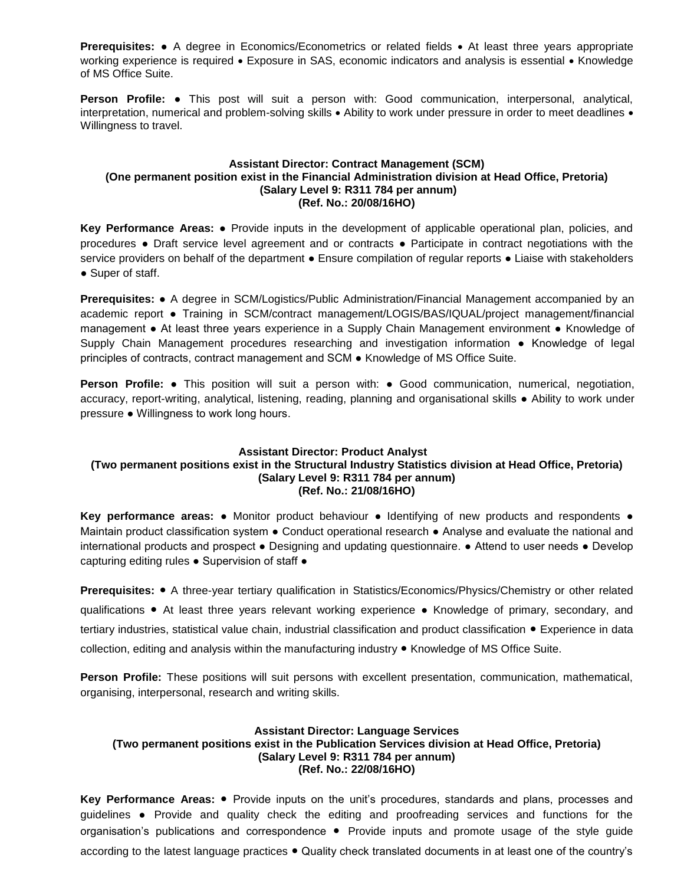**Prerequisites:** • A degree in Economics/Econometrics or related fields • At least three years appropriate working experience is required • Exposure in SAS, economic indicators and analysis is essential • Knowledge of MS Office Suite.

**Person Profile: ●** This post will suit a person with: Good communication, interpersonal, analytical, interpretation, numerical and problem-solving skills • Ability to work under pressure in order to meet deadlines • Willingness to travel.

### **Assistant Director: Contract Management (SCM) (One permanent position exist in the Financial Administration division at Head Office, Pretoria) (Salary Level 9: R311 784 per annum) (Ref. No.: 20/08/16HO)**

**Key Performance Areas:** ● Provide inputs in the development of applicable operational plan, policies, and procedures ● Draft service level agreement and or contracts ● Participate in contract negotiations with the service providers on behalf of the department . Ensure compilation of regular reports . Liaise with stakeholders ● Super of staff.

**Prerequisites:** ● A degree in SCM/Logistics/Public Administration/Financial Management accompanied by an academic report ● Training in SCM/contract management/LOGIS/BAS/IQUAL/project management/financial management ● At least three years experience in a Supply Chain Management environment ● Knowledge of Supply Chain Management procedures researching and investigation information ● Knowledge of legal principles of contracts, contract management and SCM ● Knowledge of MS Office Suite.

**Person Profile:** ● This position will suit a person with: ● Good communication, numerical, negotiation, accuracy, report-writing, analytical, listening, reading, planning and organisational skills ● Ability to work under pressure ● Willingness to work long hours.

## **Assistant Director: Product Analyst (Two permanent positions exist in the Structural Industry Statistics division at Head Office, Pretoria) (Salary Level 9: R311 784 per annum) (Ref. No.: 21/08/16HO)**

**Key performance areas: •** Monitor product behaviour • Identifying of new products and respondents • Maintain product classification system ● Conduct operational research ● Analyse and evaluate the national and international products and prospect ● Designing and updating questionnaire. ● Attend to user needs ● Develop capturing editing rules ● Supervision of staff ●

**Prerequisites:** ● A three-year tertiary qualification in Statistics/Economics/Physics/Chemistry or other related qualifications ● At least three years relevant working experience ● Knowledge of primary, secondary, and tertiary industries, statistical value chain, industrial classification and product classification ● Experience in data collection, editing and analysis within the manufacturing industry ● Knowledge of MS Office Suite.

**Person Profile:** These positions will suit persons with excellent presentation, communication, mathematical, organising, interpersonal, research and writing skills.

## **Assistant Director: Language Services (Two permanent positions exist in the Publication Services division at Head Office, Pretoria) (Salary Level 9: R311 784 per annum) (Ref. No.: 22/08/16HO)**

**Key Performance Areas:** ● Provide inputs on the unit's procedures, standards and plans, processes and guidelines **●** Provide and quality check the editing and proofreading services and functions for the organisation's publications and correspondence ● Provide inputs and promote usage of the style guide according to the latest language practices ● Quality check translated documents in at least one of the country's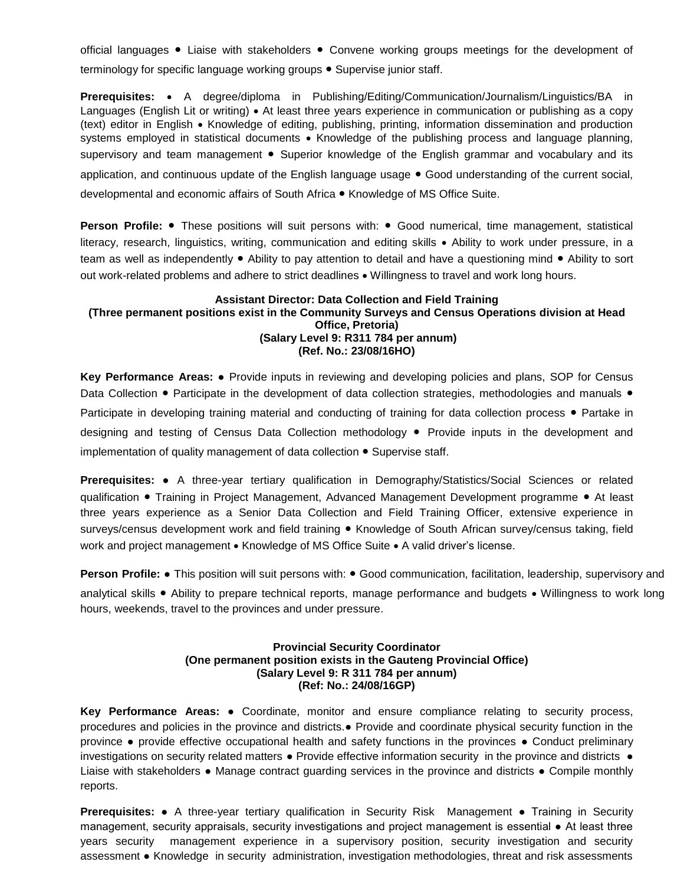official languages ● Liaise with stakeholders ● Convene working groups meetings for the development of terminology for specific language working groups ● Supervise junior staff.

**Prerequisites:** • A degree/diploma in Publishing/Editing/Communication/Journalism/Linguistics/BA in Languages (English Lit or writing) • At least three years experience in communication or publishing as a copy (text) editor in English Knowledge of editing, publishing, printing, information dissemination and production systems employed in statistical documents • Knowledge of the publishing process and language planning, supervisory and team management • Superior knowledge of the English grammar and vocabulary and its application, and continuous update of the English language usage ● Good understanding of the current social, developmental and economic affairs of South Africa ● Knowledge of MS Office Suite.

**Person Profile:** ● These positions will suit persons with: ● Good numerical, time management, statistical literacy, research, linguistics, writing, communication and editing skills Ability to work under pressure, in a team as well as independently ● Ability to pay attention to detail and have a questioning mind ● Ability to sort out work-related problems and adhere to strict deadlines . Willingness to travel and work long hours.

### **Assistant Director: Data Collection and Field Training (Three permanent positions exist in the Community Surveys and Census Operations division at Head Office, Pretoria) (Salary Level 9: R311 784 per annum) (Ref. No.: 23/08/16HO)**

**Key Performance Areas:** ● Provide inputs in reviewing and developing policies and plans, SOP for Census Data Collection • Participate in the development of data collection strategies, methodologies and manuals • Participate in developing training material and conducting of training for data collection process ● Partake in designing and testing of Census Data Collection methodology ● Provide inputs in the development and implementation of quality management of data collection ● Supervise staff.

**Prerequisites:** ● A three-year tertiary qualification in Demography/Statistics/Social Sciences or related qualification ● Training in Project Management, Advanced Management Development programme ● At least three years experience as a Senior Data Collection and Field Training Officer, extensive experience in surveys/census development work and field training ● Knowledge of South African survey/census taking, field work and project management • Knowledge of MS Office Suite • A valid driver's license.

**Person Profile:** • This position will suit persons with: • Good communication, facilitation, leadership, supervisory and analytical skills ● Ability to prepare technical reports, manage performance and budgets • Willingness to work long hours, weekends, travel to the provinces and under pressure.

### **Provincial Security Coordinator (One permanent position exists in the Gauteng Provincial Office) (Salary Level 9: R 311 784 per annum) (Ref: No.: 24/08/16GP)**

**Key Performance Areas:** ● Coordinate, monitor and ensure compliance relating to security process, procedures and policies in the province and districts.● Provide and coordinate physical security function in the province ● provide effective occupational health and safety functions in the provinces ● Conduct preliminary investigations on security related matters ● Provide effective information security in the province and districts ● Liaise with stakeholders ● Manage contract guarding services in the province and districts ● Compile monthly reports.

**Prerequisites:** ● A three-year tertiary qualification in Security Risk Management ● Training in Security management, security appraisals, security investigations and project management is essential ● At least three years security management experience in a supervisory position, security investigation and security assessment ● Knowledge in security administration, investigation methodologies, threat and risk assessments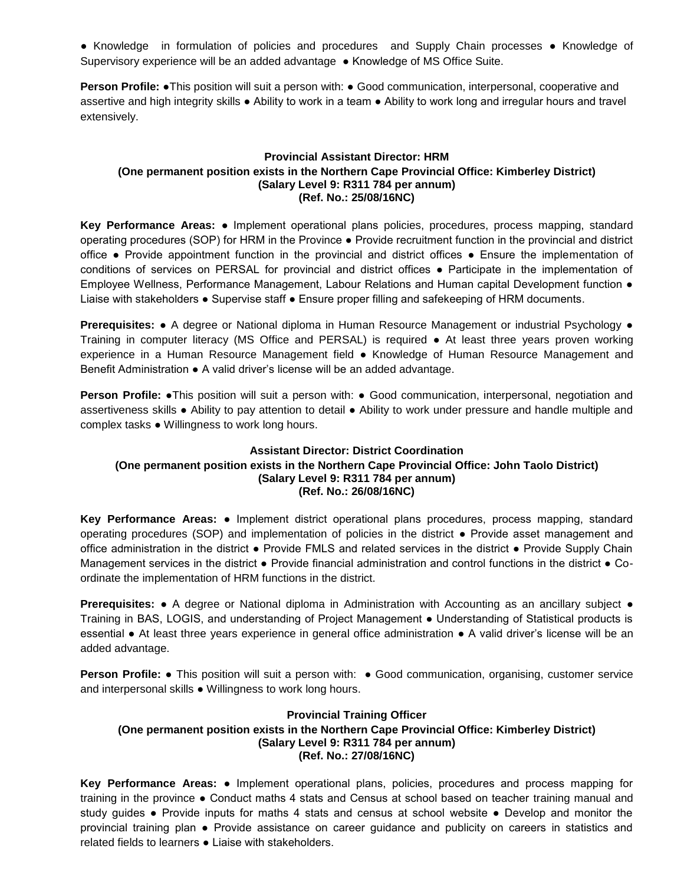● Knowledge in formulation of policies and procedures and Supply Chain processes ● Knowledge of Supervisory experience will be an added advantage ● Knowledge of MS Office Suite.

**Person Profile: •**This position will suit a person with: • Good communication, interpersonal, cooperative and assertive and high integrity skills ● Ability to work in a team ● Ability to work long and irregular hours and travel extensively.

## **Provincial Assistant Director: HRM (One permanent position exists in the Northern Cape Provincial Office: Kimberley District) (Salary Level 9: R311 784 per annum) (Ref. No.: 25/08/16NC)**

**Key Performance Areas:** ● Implement operational plans policies, procedures, process mapping, standard operating procedures (SOP) for HRM in the Province ● Provide recruitment function in the provincial and district office ● Provide appointment function in the provincial and district offices ● Ensure the implementation of conditions of services on PERSAL for provincial and district offices ● Participate in the implementation of Employee Wellness, Performance Management, Labour Relations and Human capital Development function ● Liaise with stakeholders ● Supervise staff ● Ensure proper filling and safekeeping of HRM documents.

**Prerequisites: •** A degree or National diploma in Human Resource Management or industrial Psychology • Training in computer literacy (MS Office and PERSAL) is required ● At least three years proven working experience in a Human Resource Management field ● Knowledge of Human Resource Management and Benefit Administration ● A valid driver's license will be an added advantage.

**Person Profile:** •This position will suit a person with: • Good communication, interpersonal, negotiation and assertiveness skills ● Ability to pay attention to detail ● Ability to work under pressure and handle multiple and complex tasks ● Willingness to work long hours.

## **Assistant Director: District Coordination (One permanent position exists in the Northern Cape Provincial Office: John Taolo District) (Salary Level 9: R311 784 per annum) (Ref. No.: 26/08/16NC)**

**Key Performance Areas:** ● Implement district operational plans procedures, process mapping, standard operating procedures (SOP) and implementation of policies in the district ● Provide asset management and office administration in the district ● Provide FMLS and related services in the district ● Provide Supply Chain Management services in the district ● Provide financial administration and control functions in the district ● Coordinate the implementation of HRM functions in the district.

**Prerequisites: •** A degree or National diploma in Administration with Accounting as an ancillary subject • Training in BAS, LOGIS, and understanding of Project Management ● Understanding of Statistical products is essential ● At least three years experience in general office administration ● A valid driver's license will be an added advantage.

**Person Profile:** • This position will suit a person with: • Good communication, organising, customer service and interpersonal skills ● Willingness to work long hours.

### **Provincial Training Officer**

## **(One permanent position exists in the Northern Cape Provincial Office: Kimberley District) (Salary Level 9: R311 784 per annum) (Ref. No.: 27/08/16NC)**

**Key Performance Areas:** ● Implement operational plans, policies, procedures and process mapping for training in the province ● Conduct maths 4 stats and Census at school based on teacher training manual and study guides ● Provide inputs for maths 4 stats and census at school website ● Develop and monitor the provincial training plan ● Provide assistance on career guidance and publicity on careers in statistics and related fields to learners ● Liaise with stakeholders.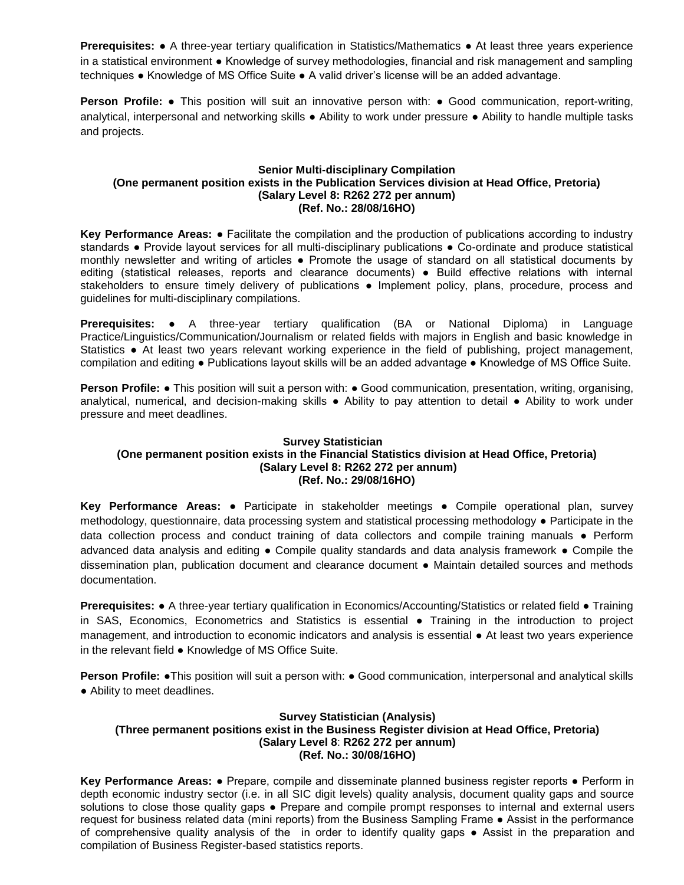**Prerequisites: •** A three-year tertiary qualification in Statistics/Mathematics • At least three years experience in a statistical environment ● Knowledge of survey methodologies, financial and risk management and sampling techniques ● Knowledge of MS Office Suite ● A valid driver's license will be an added advantage.

**Person Profile:** ● This position will suit an innovative person with: ● Good communication, report-writing, analytical, interpersonal and networking skills ● Ability to work under pressure ● Ability to handle multiple tasks and projects.

## **Senior Multi-disciplinary Compilation (One permanent position exists in the Publication Services division at Head Office, Pretoria) (Salary Level 8: R262 272 per annum) (Ref. No.: 28/08/16HO)**

**Key Performance Areas:** ● Facilitate the compilation and the production of publications according to industry standards ● Provide layout services for all multi-disciplinary publications ● Co-ordinate and produce statistical monthly newsletter and writing of articles ● Promote the usage of standard on all statistical documents by editing (statistical releases, reports and clearance documents) ● Build effective relations with internal stakeholders to ensure timely delivery of publications • Implement policy, plans, procedure, process and guidelines for multi-disciplinary compilations.

**Prerequisites:** ● A three-year tertiary qualification (BA or National Diploma) in Language Practice/Linguistics/Communication/Journalism or related fields with majors in English and basic knowledge in Statistics ● At least two years relevant working experience in the field of publishing, project management, compilation and editing ● Publications layout skills will be an added advantage ● Knowledge of MS Office Suite.

**Person Profile: •** This position will suit a person with: • Good communication, presentation, writing, organising, analytical, numerical, and decision-making skills ● Ability to pay attention to detail ● Ability to work under pressure and meet deadlines.

## **Survey Statistician (One permanent position exists in the Financial Statistics division at Head Office, Pretoria) (Salary Level 8: R262 272 per annum) (Ref. No.: 29/08/16HO)**

**Key Performance Areas:** ● Participate in stakeholder meetings ● Compile operational plan, survey methodology, questionnaire, data processing system and statistical processing methodology ● Participate in the data collection process and conduct training of data collectors and compile training manuals ● Perform advanced data analysis and editing ● Compile quality standards and data analysis framework ● Compile the dissemination plan, publication document and clearance document ● Maintain detailed sources and methods documentation.

**Prerequisites: •** A three-year tertiary qualification in Economics/Accounting/Statistics or related field • Training in SAS, Economics, Econometrics and Statistics is essential ● Training in the introduction to project management, and introduction to economic indicators and analysis is essential ● At least two years experience in the relevant field ● Knowledge of MS Office Suite.

**Person Profile: •**This position will suit a person with: • Good communication, interpersonal and analytical skills ● Ability to meet deadlines.

## **Survey Statistician (Analysis) (Three permanent positions exist in the Business Register division at Head Office, Pretoria) (Salary Level 8**: **R262 272 per annum) (Ref. No.: 30/08/16HO)**

**Key Performance Areas:** ● Prepare, compile and disseminate planned business register reports ● Perform in depth economic industry sector (i.e. in all SIC digit levels) quality analysis, document quality gaps and source solutions to close those quality gaps • Prepare and compile prompt responses to internal and external users request for business related data (mini reports) from the Business Sampling Frame ● Assist in the performance of comprehensive quality analysis of the in order to identify quality gaps ● Assist in the preparation and compilation of Business Register-based statistics reports.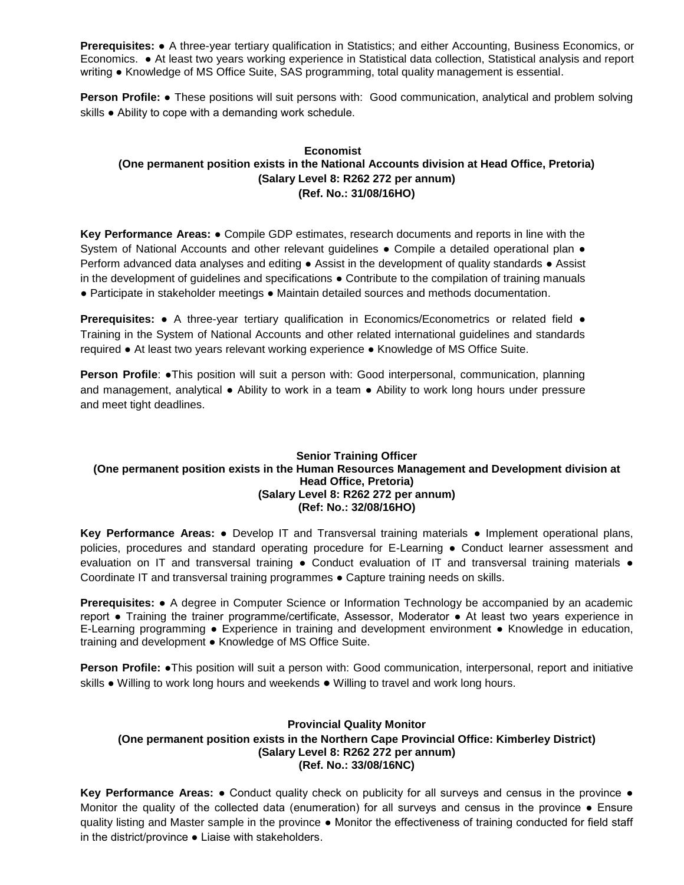**Prerequisites:** ● A three-year tertiary qualification in Statistics; and either Accounting, Business Economics, or Economics. ● At least two years working experience in Statistical data collection, Statistical analysis and report writing ● Knowledge of MS Office Suite, SAS programming, total quality management is essential.

**Person Profile:** ● These positions will suit persons with: Good communication, analytical and problem solving skills ● Ability to cope with a demanding work schedule.

## **Economist (One permanent position exists in the National Accounts division at Head Office, Pretoria) (Salary Level 8: R262 272 per annum) (Ref. No.: 31/08/16HO)**

**Key Performance Areas:** ● Compile GDP estimates, research documents and reports in line with the System of National Accounts and other relevant guidelines • Compile a detailed operational plan • Perform advanced data analyses and editing . Assist in the development of quality standards . Assist in the development of guidelines and specifications ● Contribute to the compilation of training manuals ● Participate in stakeholder meetings ● Maintain detailed sources and methods documentation.

**Prerequisites:** ● A three-year tertiary qualification in Economics/Econometrics or related field ● Training in the System of National Accounts and other related international guidelines and standards required ● At least two years relevant working experience ● Knowledge of MS Office Suite.

**Person Profile: •This position will suit a person with: Good interpersonal, communication, planning** and management, analytical ● Ability to work in a team ● Ability to work long hours under pressure and meet tight deadlines.

## **Senior Training Officer (One permanent position exists in the Human Resources Management and Development division at Head Office, Pretoria) (Salary Level 8: R262 272 per annum) (Ref: No.: 32/08/16HO)**

**Key Performance Areas:** ● Develop IT and Transversal training materials ● Implement operational plans, policies, procedures and standard operating procedure for E-Learning ● Conduct learner assessment and evaluation on IT and transversal training • Conduct evaluation of IT and transversal training materials • Coordinate IT and transversal training programmes ● Capture training needs on skills.

**Prerequisites:** ● A degree in Computer Science or Information Technology be accompanied by an academic report ● Training the trainer programme/certificate, Assessor, Moderator ● At least two years experience in E-Learning programming ● Experience in training and development environment ● Knowledge in education, training and development ● Knowledge of MS Office Suite.

**Person Profile:** ●This position will suit a person with: Good communication, interpersonal, report and initiative skills ● Willing to work long hours and weekends ● Willing to travel and work long hours.

## **Provincial Quality Monitor (One permanent position exists in the Northern Cape Provincial Office: Kimberley District) (Salary Level 8: R262 272 per annum) (Ref. No.: 33/08/16NC)**

**Key Performance Areas: •** Conduct quality check on publicity for all surveys and census in the province • Monitor the quality of the collected data (enumeration) for all surveys and census in the province ● Ensure quality listing and Master sample in the province ● Monitor the effectiveness of training conducted for field staff in the district/province ● Liaise with stakeholders.